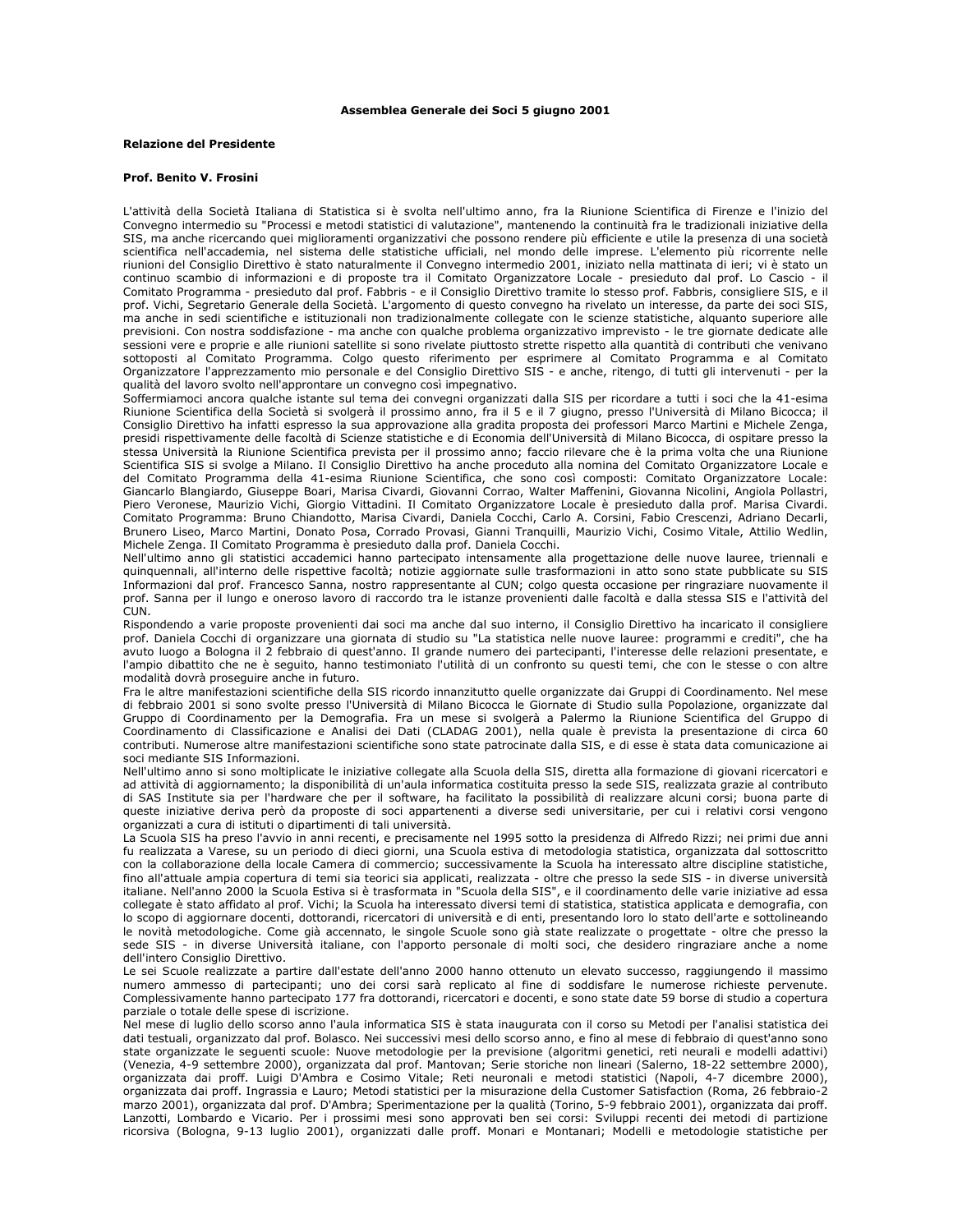## Assemblea Generale dei Soci 5 giugno 2001

## **Relazione del Presidente**

## Prof. Benito V. Frosini

L'attività della Società Italiana di Statistica si è svolta nell'ultimo anno, fra la Riunione Scientifica di Firenze e l'inizio del Convegno intermedio su "Processi e metodi statistici di valutazione", mantenendo la continuità fra le tradizionali iniziative della SIS, ma anche ricercando quei miglioramenti organizzativi che possono rendere più efficiente e utile la presenza di una società scientifica nell'accademia, nel sistema delle statistiche ufficiali, nel mondo delle imprese. L'elemento più ricorrente nelle riunioni del Consiglio Direttivo è stato naturalmente il Convegno intermedio 2001, iniziato nella mattinata di ieri; vi è stato un continuo scambio di informazioni e di proposte tra il Comitato Organizzatore Locale - presieduto dal prof. Lo Cascio - il Comitato Programma - presieduto dal prof. Fabbris - e il Consiglio Direttivo tramite lo stesso prof. Fabbris, consigliere SIS, e il prof. Vichi, Segretario Generale della Società. L'argomento di questo convegno ha rivelato un interesse, da parte dei soci SIS, ma anche in sedi scientifiche e istituzionali non tradizionalmente collegate con le scienze statistiche, alquanto superiore alle previsioni. Con nostra soddisfazione - ma anche con qualche problema organizzativo imprevisto - le tre giornate dedicate alle .<br>sessioni vere e proprie e alle riunioni satellite si sono rivelate piuttosto strette rispetto alla quantità di contributi che venivano sottoposti al Comitato Programma. Colgo questo riferimento per esprimere al Comitato Programma e al Comitato Organizzatore l'apprezzamento mio personale e del Consiglio Direttivo SIS - e anche, ritengo, di tutti gli intervenuti - per la qualità del lavoro svolto nell'approntare un convegno così impegnativo.

Soffermiamoci ancora qualche istante sul tema dei convegni organizzati dalla SIS per ricordare a tutti i soci che la 41-esima Riunione Scientifica della Società si svolgerà il prossimo anno, fra il 5 e il 7 giugno, presso l'Università di Milano Bicocca; il Consiglio Direttivo ha infatti espresso la sua approvazione alla gradita proposta dei professori Marco Martini e Michele Zenga, presidi rispettivamente delle facoltà di Scienze statistiche e di Economia dell'Università di Milano Bicocca, di ospitare presso la stessa Università la Riunione Scientifica prevista per il prossimo anno; faccio rilevare che è la prima volta che una Riunione Scientifica SIS si svolge a Milano. Il Consiglio Direttivo ha anche proceduto alla nomina del Comitato Organizzatore Locale e del Comitato Programma della 41-esima Riunione Scientifica, che sono così composti: Comitato Organizzatore Locale: Giancarlo Blangiardo, Giuseppe Boari, Marisa Civardi, Giovanni Corrao, Walter Maffenini, Giovanna Nicolini, Angiola Pollastri, Piero Veronese, Maurizio Vichi, Giorgio Vittadini. Il Comitato Organizzatore Locale è presieduto dalla prof. Marisa Civardi. Comitato Programma: Bruno Chiandotto, Marisa Civardi, Daniela Cocchi, Carlo A. Corsini, Fabio Crescenzi, Adriano Decarli, Brunero Liseo, Marco Martini, Donato Posa, Corrado Provasi, Gianni Tranquilli, Maurizio Vichi, Cosimo Vitale, Attilio Wedlin, Michele Zenga. Il Comitato Programma è presieduto dalla prof. Daniela Cocchi.

Nell'ultimo anno gli statistici accademici hanno partecipato intensamente alla progettazione delle nuove lauree, triennali e guinguennali, all'interno delle rispettive facoltà; notizie aggiornate sulle trasformazioni in atto sono state pubblicate su SIS Informazioni dal prof. Francesco Sanna, nostro rappresentante al CUN; colgo questa occasione per ringraziare nuovamente il prof. Sanna per il lungo e oneroso lavoro di raccordo tra le istanze provenienti dalle facoltà e dalla stessa SIS e l'attività del CUN.

Rispondendo a varie proposte provenienti dai soci ma anche dal suo interno, il Consiglio Direttivo ha incaricato il consigliere prof. Daniela Cocchi di organizzare una giornata di studio su "La statistica nelle nuove lauree: programmi e crediti", che ha avuto luogo a Bologna il 2 febbraio di quest'anno. Il grande numero dei partecipanti, l'interesse delle relazioni presentate, e l'ampio dibattito che ne è seguito, hanno testimoniato l'utilità di un confronto su questi temi, che con le stesse o con altre modalità dovrà proseguire anche in futuro.

Fra le altre manifestazioni scientifiche della SIS ricordo innanzitutto quelle organizzate dai Gruppi di Coordinamento. Nel mese di febbraio 2001 si sono svolte presso l'Università di Milano Bicocca le Giornate di Studio sulla Popolazione, organizzate dal Gruppo di Coordinamento per la Demografia. Fra un mese si svolgerà a Palermo la Riunione Scientifica del Gruppo di Coordinamento di Classificazione e Analisi dei Dati (CLADAG 2001), nella quale è prevista la presentazione di circa 60 contributi. Numerose altre manifestazioni scientifiche sono state patrocinate dalla SIS, e di esse è stata data comunicazione ai soci mediante SIS Informazioni

Nell'ultimo anno si sono moltiplicate le iniziative collegate alla Scuola della SIS, diretta alla formazione di giovani ricercatori e ad attività di aggiornamento; la disponibilità di un'aula informatica costituita presso la sede SIS, realizzata grazie al contributo di SAS Institute sia per l'hardware che per il software, ha facilitato la possibilità di realizzare alcuni corsi; buona parte di queste iniziative deriva però da proposte di soci appartenenti a diverse sedi universitarie, per cui i relativi corsi vengono organizzati a cura di istituti o dipartimenti di tali università.

La Scuola SIS ha preso l'avvio in anni recenti, e precisamente nel 1995 sotto la presidenza di Alfredo Rizzi; nei primi due anni fu realizzata a Varese, su un periodo di dieci giorni, una Scuola estiva di metodologia statistica, organizzata dal sottoscritto con la collaborazione della locale Camera di commercio; successivamente la Scuola ha interessato altre discipline statistiche, fino all'attuale ampia copertura di temi sia teorici sia applicati, realizzata - oltre che presso la sede SIS - in diverse università italiane. Nell'anno 2000 la Scuola Estiva si è trasformata in "Scuola della SIS", e il coordinamento delle varie iniziative ad essa collegate è stato affidato al prof. Vichi; la Scuola ha interessato diversi temi di statistica, statistica applicata e demografia, con lo scopo di aggiornare docenti, dottorandi, ricercatori di università e di enti, presentando loro lo stato dell'arte e sottolineando le novità metodologiche. Come già accennato, le singole Scuole sono già state realizzate o progettate - oltre che presso la sede SIS - in diverse Università italiane, con l'apporto personale di molti soci, che desidero ringraziare anche a nome dell'intero Consiglio Direttivo.

Le sei Scuole realizzate a partire dall'estate dell'anno 2000 hanno ottenuto un elevato successo, raggiungendo il massimo numero ammesso di partecipanti; uno dei corsi sarà replicato al fine di soddisfare le numerose richieste pervenute. Complessivamente hanno partecipato 177 fra dottorandi, ricercatori e docenti, e sono state date 59 borse di studio a copertura parziale o totale delle spese di iscrizione.

Nel mese di luglio dello scorso anno l'aula informatica SIS è stata inaugurata con il corso su Metodi per l'analisi statistica dei dati testuali, organizzato dal prof. Bolasco. Nei successivi mesi dello scorso anno, e fino al mese di febbraio di quest'anno sono state organizzate le sequenti scuole: Nuove metodologie per la previsione (algoritmi genetici, reti neurali e modelli adattivi) (Venezia, 4-9 settembre 2000), organizzata dal prof. Mantovan; Serie storiche non lineari (Salerno, 18-22 settembre 2000), organizzata dai proff. Luigi D'Ambra e Cosimo Vitale; Reti neuronali e metodi statistici (Napoli, 4-7 dicembre 2000), organizzata dai proff. Ingrassia e Lauro; Metodi statistici per la misurazione della Customer Satisfaction (Roma, 26 febbraio-2 marzo 2001), organizzata dal prof. D'Ambra; Sperimentazione per la qualità (Torino, 5-9 febbraio 2001), organizzata dai proff. Lanzotti, Lombardo e Vicario. Per i prossimi mesi sono approvati ben sei corsi: Sviluppi recenti dei metodi di partizione ricorsiva (Bologna, 9-13 luglio 2001), organizzati dalle proff. Monari e Montanari; Modelli e metodologie statistiche per